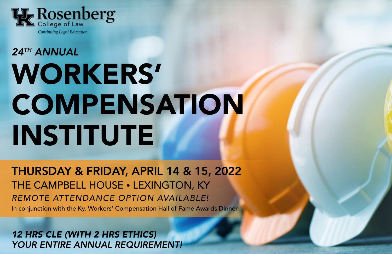

# *24TH ANNUAL* WORKERS' **COMPENSATION** INSTITUTE

THURSDAY & FRIDAY, APRIL 14 & 15, 2022 THE CAMPBELL HOUSE • LEXINGTON, KY *REMOTE ATTENDANCE OPTION AVAILABLE!* In conjunction with the Ky. Workers' Compensation Hall of Fame Awards Dinner

*12 HRS CLE (WITH 2 HRS ETHICS) YOUR ENTIRE ANNUAL REQUIREMENT!*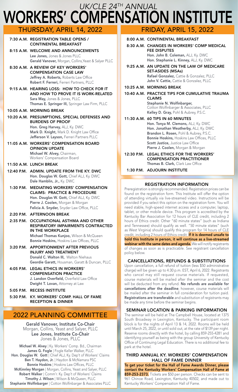### WORKERS' COMPENSATION INSTITUTE *UK/CLE 24TH ANNUAL* THURSDAY, APRIL 14, 2022 FRIDAY, APRIL 15, 2022

## 7:30 A.M. REGISTRATION TABLE OPENS /

CONTINENTAL BREAKFAST

- 8:15 A.M. WELCOME AND ANNOUNCEMENTS Lee Jones, Jones & Jones PLLC Gerald Vanover, Morgan, Collins, Yeast & Salyer PLLC
- 8:30 A.M. A REVIEW OF KEY WORKERS' COMPENSATION CASE LAW Jeffrey A. Roberts, Roberts Law Office Robert F. Ferreri, Ferreri Partners, PLLC
- 9:15 A.M. HEARING LOSS: HOW TO CHECK FOR IT AND HOW TO PROVE IT IS WORK-RELATED Sara May, Jones & Jones, PLLC Thomas E. Springer III, Springer Law Firm, PLLC

#### 10:05 A.M. MORNING BREAK

- 10:20 A.M. PRESUMPTIONS, SPECIAL DEFENSES AND BURDENS OF PROOF Hon. Greg Harvey, ALJ, Ky. DWC Mark D. Knight, Mark D. Knight Law Office Jefferson V. Layson, Ferreri Partners PLLC
- 11:05 A.M. WORKERS' COMPENSATION BOARD OPINION UPDATE Michael W. Alvey, Chairman, Workers' Compensation Board

#### 11:50 A.M. LUNCH BREAK

- 12:40 P.M. ADMIN. UPDATE FROM THE KY. DWC Hon. Douglas W. Gott, Chief ALJ, Ky. DWC Dale Hamblin, Jr., Ky. DWC
- 1:30 P.M. MEDIATING WORKERS' COMPENSATION CLAIMS: PRACTICE & PROCEDURE Hon. Douglas W. Gott, Chief ALJ, Ky. DWC Pierre J. Coolen, Morgan & Morgan Felicia A. Snyder, Snyder Law Office, PLLC

#### 2:20 P.M. AFTERNOON BREAK

- 2:35 P.M. OCCUPATIONAL ASTHMA AND OTHER RESPIRATORY IMPAIRMENTS CONTRACTED IN THE WORKPLACE Michael Thomas Kunjoo, Wilson & McQueen Bonnie Hoskins, Hoskins Law Offices, PLLC
- 3:20 P.M. APPORTIONMENT AFTER PREVIOUS INJURY AND TREATMENT Donald C. Walton III, Walton Niehaus Geordie Garatt, Housman, Garatt & Duncan, PLLC
- 4:05 P.M. LEGAL ETHICS IN WORKERS' COMPENSATION PRACTICE J. Landon Overfield, Overfield Law Office Dwight T. Lovan, Attorney at Law
- 5:05 P.M. RECESS INSTITUTE
- 5:30 P.M. KY. WORKERS' COMP. HALL OF FAME RECEPTION & DINNER

### 2022 PLANNING COMMITTEE

Gerald Vanover, Institute Co-Chair Morgan, Collins, Yeast and Salyer, PLLC Lee Jones, Institute Co-Chair Jones & Jones, PLLC

Michael W. Alvey | Ky. Workers' Comp. Bd., Chairman James G. Fogle | Fogle Keller Walker, PLLC Hon. Douglas W. Gott | Chief ALJ, Ky. Dep't of Workers' Claims Ben T. Haydon, Jr. | Haydon & McNamara PSC Bonnie Hoskins | Hoskins Law Offices, PLLC McKinnley Morgan | Morgan, Collins, Yeast and Salyer, PLLC Robert Walker | Comm'r. Ky. Dep't of Workers' Claims Timothy J. Wilson | Wilson & McQueen, PLLC Stephanie Wolfinbarger | Cotton Wolfinbarger & Associates PLLC

#### 8:00 A.M. CONTINENTAL BREAKFAST

- 8:30 A.M. CHANGES IN WORKERS' COMP MEDICAL FEE DISPUTES Hon. John B. Coleman, ALJ, Ky. DWC Hon. Stephanie L. Kinney, ALJ, Ky. DWC
- 9:25 A.M. AN UPDATE ON THE LAW OF MEDICARE SET-ASIDES (MSAs) Rafael Gonzalez, Cattie & Gonzalez, PLLC John V. Cattie, Cattie & Gonzalez, PLLC

#### 10:25 A.M. MORNING BREAK

10:40 A.M. PRACTICE TIPS FOR CUMULATIVE TRAUMA CLAIMS

Stephanie N. Wolfinbarger, Cotton Wolfinbarger & Associates, PLLC Kelley D. Gray, Pohl & Aubrey, P.S.C.

- 11:30 A.M. 60 TIPS IN 60 MINUTES Hon. Tonya M. Clemons, ALJ, Ky. DWC Hon. Jonathan Weatherby, ALJ, Ky. DWC Brandon L. Rosen, Pohl & Aubrey, P.S.C. Bonnie Hoskins, Hoskins Law Offices, PLLC Scott Justice, Justice Law Office Pierre J. Coolen, Morgan & Morgan
- 12:30 P.M. LEGAL ETHICS FOR THE WORKERS' COMPENSATION PRACTITIONER Thomas B. Clark, Clark Law Office
	- 1:30 P.M. ADJOURN INSTITUTE

### REGISTRATION INFORMATION

Preregistration is strongly recommended. Registration prices can be found on the registration form. This Institute will offer the option of attending virtually via live-streamed video. Instructions will be provided if you select this option on the registration form. You will need stable, high-speed internet access and a computer, laptop, tablet, or other mobile device. This program is accredited by the Kentucky Bar Association for 12 hours of CLE credit, including 2 hours of Ethics credit. Other "60 minute states" (such as Indiana and Tennessee) should qualify as well. "50 minute states" (such as West Virginia) should qualify this program for 14 hours of CLE credit, including 2 hours of Ethics credit. **If it is deemed unsafe to** hold this Institute in person, it will continue as a live-streamed webinar with the same dates and agenda. We will notify registrants of changes as soon as is practicable. See registrant cancellation policy below.

#### CANCELLATIONS, REFUNDS & SUBSTITUTIONS

Upon cancellation, a full refund of tuition (less \$50 administrative charge) will be given up to 4:30 p.m. EST, April 6, 2022. Registrants who cancel may still request course materials. If requested, course materials will be mailed after the seminar and the cost will be deducted from any refund. No refunds are available for cancellations after the deadline; however, course materials will be mailed after the seminar in full consideration for tuition paid. Registrations are transferable and substitution of registrants may be made any time before the seminar begins.

#### SEMINAR LOCATION & PARKING INFORMATION

The seminar will be held at The Campbell House, located at 1375 South Broadway in Lexington, Kentucky. The participant room block is for the nights of April 13 & 14, 2022. Rooms will be held until March 25, 2022, or until sold out, at the rate of \$139 per night. Reserve rooms directly with the hotel, by calling 859-255-4281 and identifying yourself as being with the group University of Kentucky Office of Continuing Legal Education. There is no additional fee to park at the hotel.

#### THIRD ANNUAL KY. WORKERS' COMPENSATION HALL OF FAME DINNER

To get your ticket for the Hall of Fame Awards Dinner, please contact the Kentucky Workers' Compensation Hall of Fame at 859-253-2373. Tickets are \$50 per person. Checks can be sent to 961 Chinoe Road, Lexington, Kentucky 40502, and made out to Kentucky Workers' Compensation Hall of Fame.